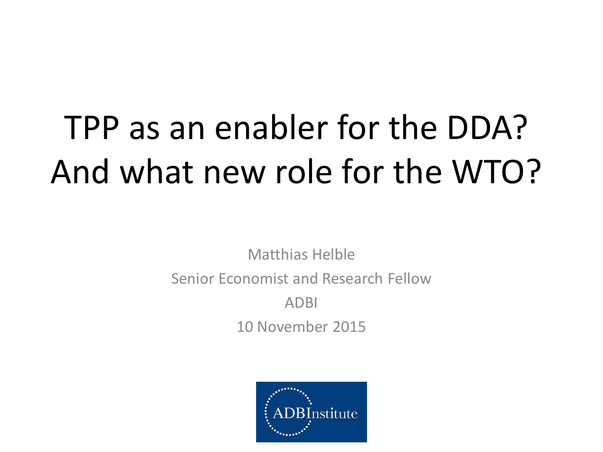# TPP as an enabler for the DDA? And what new role for the WTO?

Matthias Helble Senior Economist and Research Fellow ADBI 10 November 2015

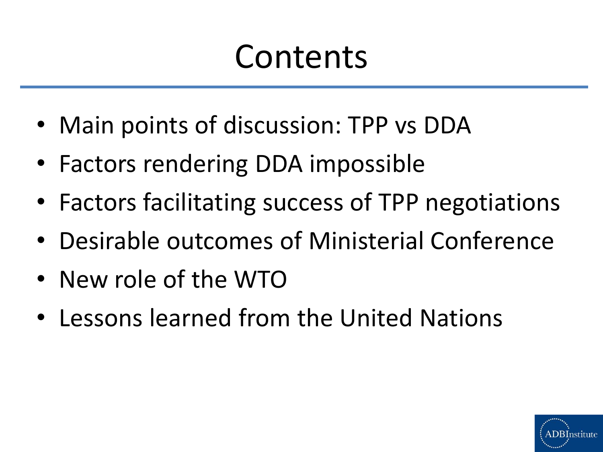# Contents

- Main points of discussion: TPP vs DDA
- Factors rendering DDA impossible
- Factors facilitating success of TPP negotiations
- Desirable outcomes of Ministerial Conference
- New role of the WTO
- Lessons learned from the United Nations

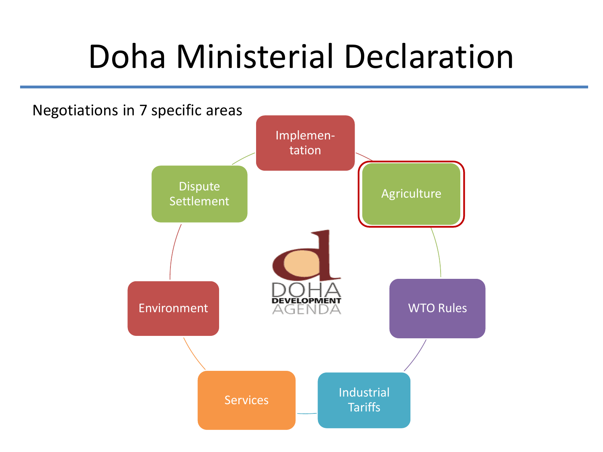## Doha Ministerial Declaration

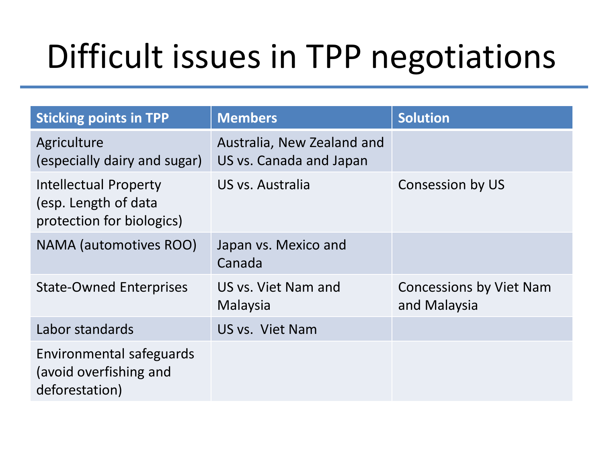# Difficult issues in TPP negotiations

| <b>Sticking points in TPP</b>                                                     | <b>Members</b>                                        | <b>Solution</b>                         |
|-----------------------------------------------------------------------------------|-------------------------------------------------------|-----------------------------------------|
| Agriculture<br>(especially dairy and sugar)                                       | Australia, New Zealand and<br>US vs. Canada and Japan |                                         |
| <b>Intellectual Property</b><br>(esp. Length of data<br>protection for biologics) | US vs. Australia                                      | Consession by US                        |
| NAMA (automotives ROO)                                                            | Japan vs. Mexico and<br>Canada                        |                                         |
| <b>State-Owned Enterprises</b>                                                    | US vs. Viet Nam and<br>Malaysia                       | Concessions by Viet Nam<br>and Malaysia |
| Labor standards                                                                   | US vs. Viet Nam                                       |                                         |
| Environmental safeguards<br>(avoid overfishing and<br>deforestation)              |                                                       |                                         |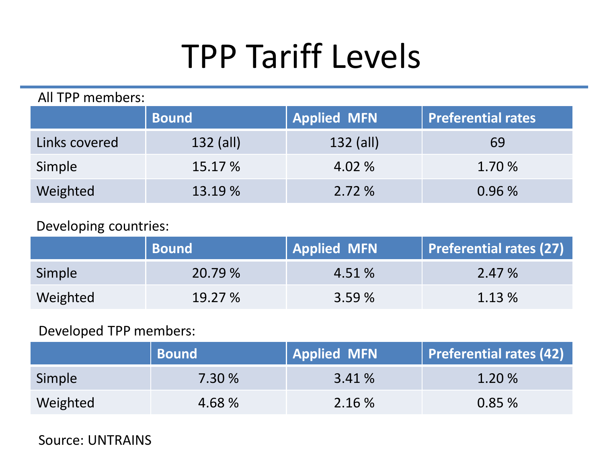# TPP Tariff Levels

| All TPP members: |              |                    |                    |  |  |
|------------------|--------------|--------------------|--------------------|--|--|
|                  | <b>Bound</b> | <b>Applied MFN</b> | Preferential rates |  |  |
| Links covered    | $132$ (all)  | $132$ (all)        | 69                 |  |  |
| Simple           | 15.17 %      | 4.02 %             | 1.70 %             |  |  |
| Weighted         | 13.19 %      | 2.72%              | 0.96%              |  |  |

#### Developing countries:

|          | <b>Bound</b> | <b>Applied MFN</b> | Preferential rates (27) |
|----------|--------------|--------------------|-------------------------|
| Simple   | 20.79 %      | 4.51 %             | 2.47 %                  |
| Weighted | 19.27%       | 3.59%              | 1.13 %                  |

#### Developed TPP members:

|          | <b>Bound</b> | <b>Applied MFN</b> | Preferential rates (42) |
|----------|--------------|--------------------|-------------------------|
| Simple   | 7.30 %       | 3.41 %             | 1.20 %                  |
| Weighted | 4.68 %       | 2.16 %             | 0.85%                   |

Source: UNTRAINS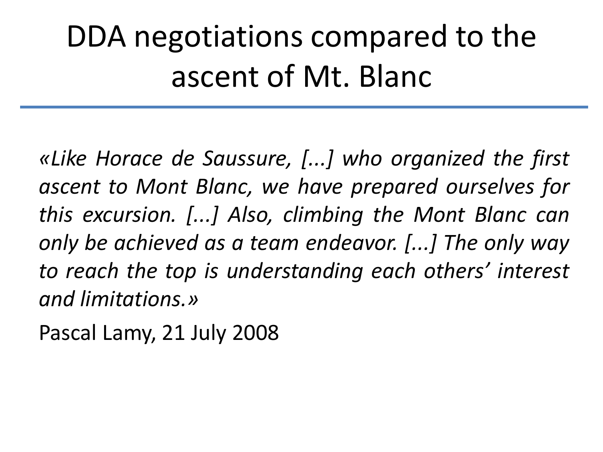## DDA negotiations compared to the ascent of Mt. Blanc

*«Like Horace de Saussure, [...] who organized the first ascent to Mont Blanc, we have prepared ourselves for this excursion. [...] Also, climbing the Mont Blanc can only be achieved as a team endeavor. [...] The only way to reach the top is understanding each others' interest and limitations.»*

Pascal Lamy, 21 July 2008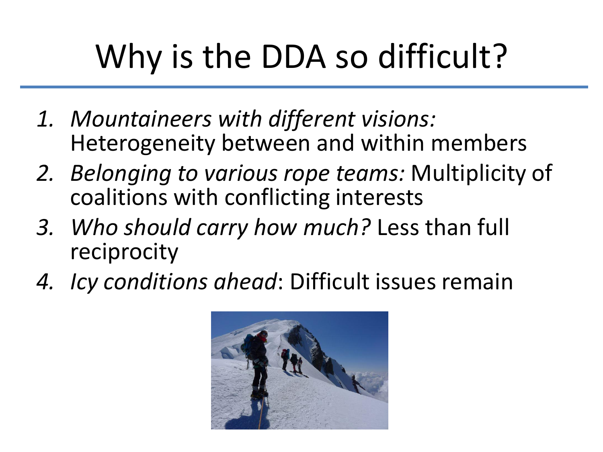# Why is the DDA so difficult?

- *1. Mountaineers with different visions:* Heterogeneity between and within members
- *2. Belonging to various rope teams:* Multiplicity of coalitions with conflicting interests
- *3. Who should carry how much?* Less than full reciprocity
- *4. Icy conditions ahead*: Difficult issues remain

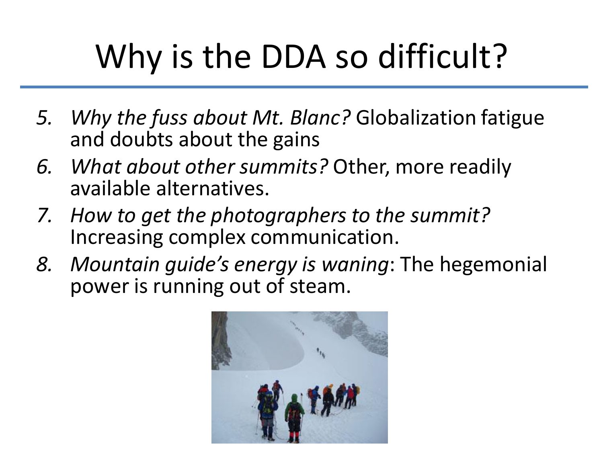# Why is the DDA so difficult?

- *5. Why the fuss about Mt. Blanc?* Globalization fatigue and doubts about the gains
- *6. What about other summits?* Other, more readily available alternatives.
- *7. How to get the photographers to the summit?* Increasing complex communication.
- *8. Mountain guide's energy is waning*: The hegemonial power is running out of steam.

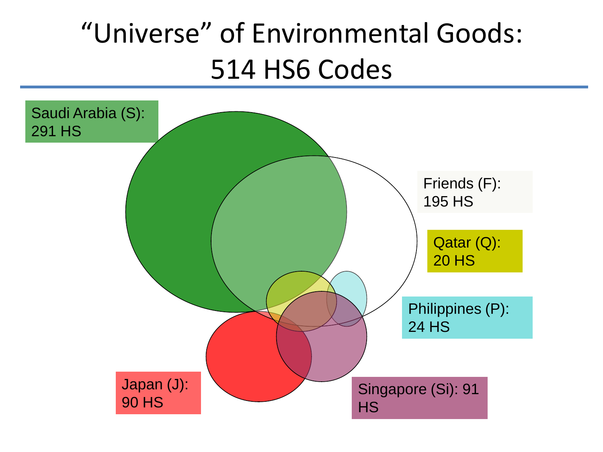### "Universe" of Environmental Goods: 514 HS6 Codes

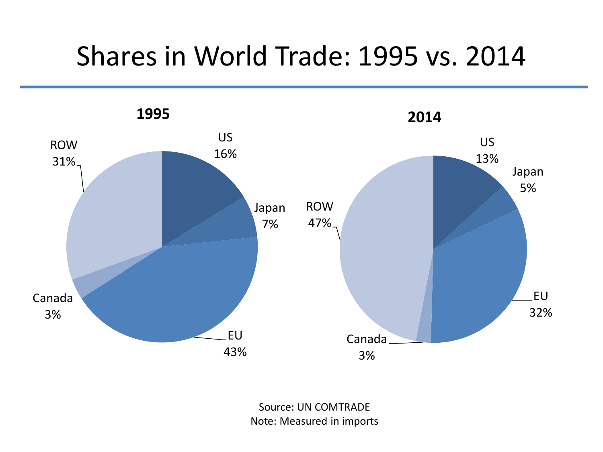#### Shares in World Trade: 1995 vs. 2014



Source: UN COMTRADE Note: Measured in imports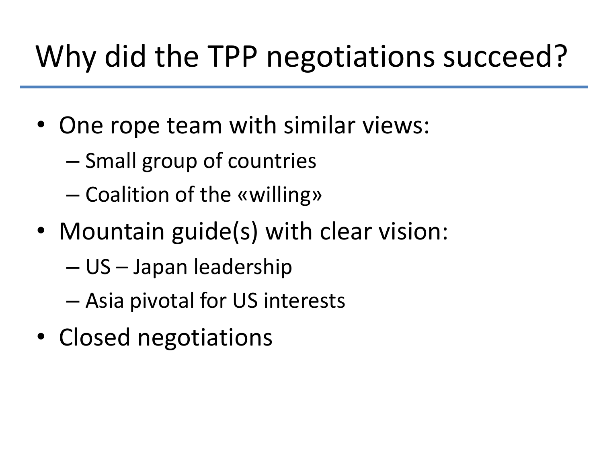## Why did the TPP negotiations succeed?

- One rope team with similar views:
	- Small group of countries
	- Coalition of the «willing»
- Mountain guide(s) with clear vision:
	- US Japan leadership
	- Asia pivotal for US interests
- Closed negotiations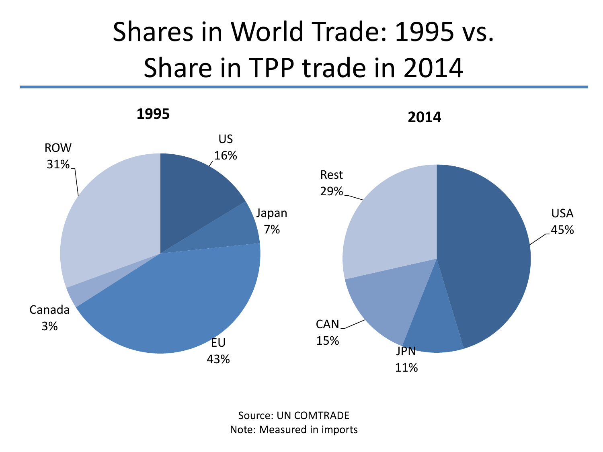### Shares in World Trade: 1995 vs. Share in TPP trade in 2014



Source: UN COMTRADE Note: Measured in imports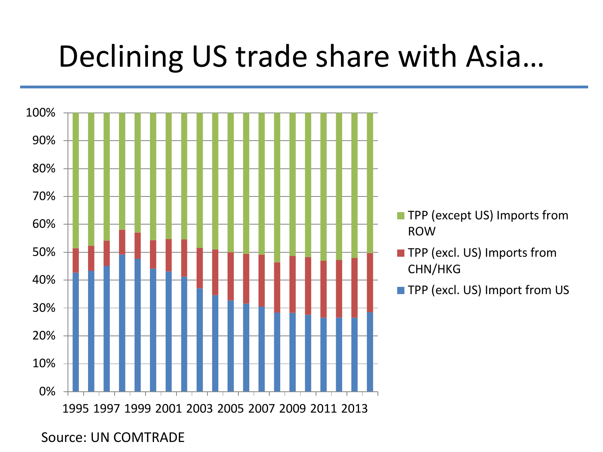## Declining US trade share with Asia…



Source: UN COMTRADE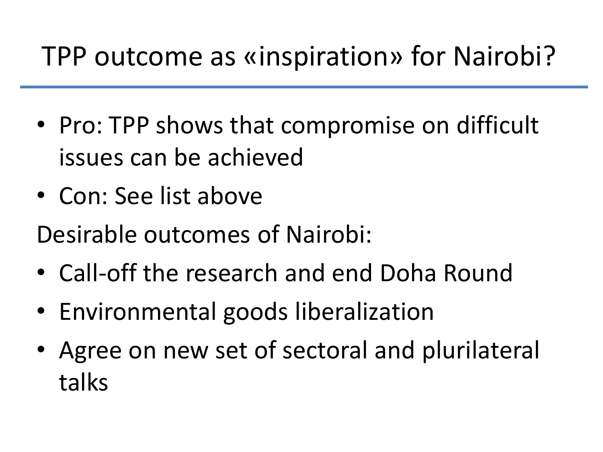#### TPP outcome as «inspiration» for Nairobi?

- Pro: TPP shows that compromise on difficult issues can be achieved
- Con: See list above
- Desirable outcomes of Nairobi:
- Call-off the research and end Doha Round
- Environmental goods liberalization
- Agree on new set of sectoral and plurilateral talks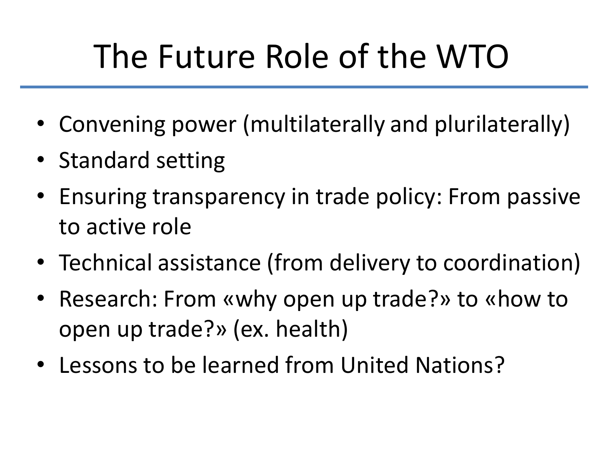# The Future Role of the WTO

- Convening power (multilaterally and plurilaterally)
- Standard setting
- Ensuring transparency in trade policy: From passive to active role
- Technical assistance (from delivery to coordination)
- Research: From «why open up trade?» to «how to open up trade?» (ex. health)
- Lessons to be learned from United Nations?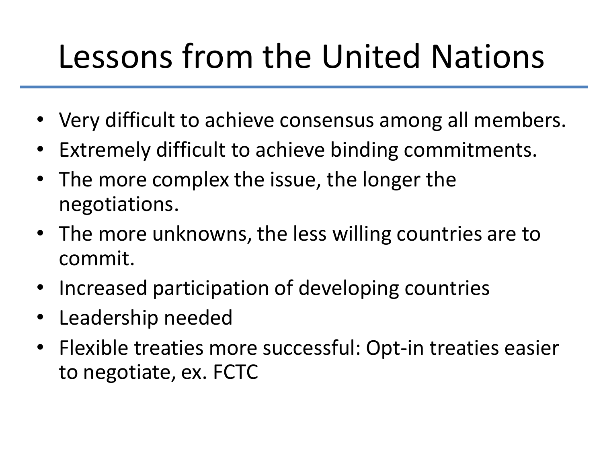# Lessons from the United Nations

- Very difficult to achieve consensus among all members.
- Extremely difficult to achieve binding commitments.
- The more complex the issue, the longer the negotiations.
- The more unknowns, the less willing countries are to commit.
- Increased participation of developing countries
- Leadership needed
- Flexible treaties more successful: Opt-in treaties easier to negotiate, ex. FCTC